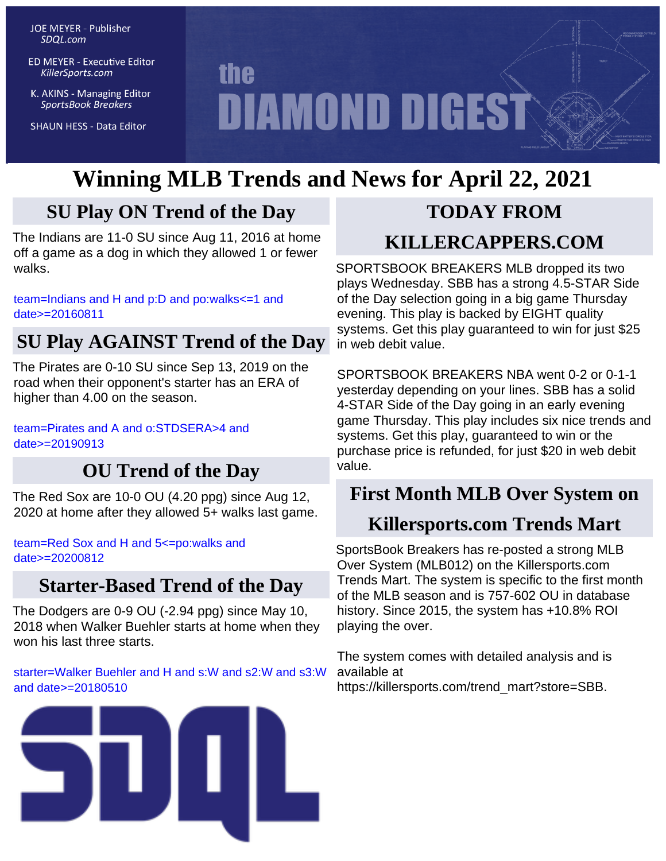**JOE MEYER - Publisher** SDQL.com

**ED MEYER - Executive Editor** KillerSports.com

K. AKINS - Managing Editor **SportsBook Breakers** 

**SHAUN HESS - Data Editor** 

# **the DIAMOND DIGEST**

# **Winning MLB Trends and News for April 22, 2021**

## **SU Play ON Trend of the Day**

The Indians are 11-0 SU since Aug 11, 2016 at home off a game as a dog in which they allowed 1 or fewer walks.

[team=Indians and H and p:D and po:walks<=1 and](http://KillerSports.com/mlb/query?sdql=team%3DIndians%20and%20H%20and%20p%3AD%20and%20po%3Awalks%3C%3D1%20and%20date%3E%3D20160811) [date>=20160811](http://KillerSports.com/mlb/query?sdql=team%3DIndians%20and%20H%20and%20p%3AD%20and%20po%3Awalks%3C%3D1%20and%20date%3E%3D20160811)

## **SU Play AGAINST Trend of the Day**

The Pirates are 0-10 SU since Sep 13, 2019 on the road when their opponent's starter has an ERA of higher than 4.00 on the season.

[team=Pirates and A and o:STDSERA>4 and](http://KillerSports.com/mlb/query?sdql=team%3DPirates%20and%20A%20and%20o%3ASTDSERA%3E4%20and%20date%3E%3D20190913) [date>=20190913](http://KillerSports.com/mlb/query?sdql=team%3DPirates%20and%20A%20and%20o%3ASTDSERA%3E4%20and%20date%3E%3D20190913)

## **OU Trend of the Day**

The Red Sox are 10-0 OU (4.20 ppg) since Aug 12, 2020 at home after they allowed 5+ walks last game.

[team=Red Sox and H and 5<=po:walks and](http://KillerSports.com/mlb/query?sdql=team%3DRed%20Sox%20and%20H%20and%205%3C%3Dpo%3Awalks%20and%20date%3E%3D20200812) [date>=20200812](http://KillerSports.com/mlb/query?sdql=team%3DRed%20Sox%20and%20H%20and%205%3C%3Dpo%3Awalks%20and%20date%3E%3D20200812)

### **Starter-Based Trend of the Day**

The Dodgers are 0-9 OU (-2.94 ppg) since May 10, 2018 when Walker Buehler starts at home when they won his last three starts.

[starter=Walker Buehler and H and s:W and s2:W and s3:W](http://KillerSports.com/mlb/query?sdql=starter%3DWalker%20Buehler%20and%20H%20and%20s%3AW%20and%20s2%3AW%20and%20s3%3AW%20and%20date%3E%3D20180510) [and date>=20180510](http://KillerSports.com/mlb/query?sdql=starter%3DWalker%20Buehler%20and%20H%20and%20s%3AW%20and%20s2%3AW%20and%20s3%3AW%20and%20date%3E%3D20180510)



# **TODAY FROM**

## **KILLERCAPPERS.COM**

SPORTSBOOK BREAKERS MLB dropped its two plays Wednesday. SBB has a strong 4.5-STAR Side of the Day selection going in a big game Thursday evening. This play is backed by EIGHT quality systems. Get this play guaranteed to win for just \$25 in web debit value.

SPORTSBOOK BREAKERS NBA went 0-2 or 0-1-1 yesterday depending on your lines. SBB has a solid 4-STAR Side of the Day going in an early evening game Thursday. This play includes six nice trends and systems. Get this play, guaranteed to win or the purchase price is refunded, for just \$20 in web debit value.

## **First Month MLB Over System on**

## **Killersports.com Trends Mart**

SportsBook Breakers has re-posted a strong MLB Over System (MLB012) on the Killersports.com Trends Mart. The system is specific to the first month of the MLB season and is 757-602 OU in database history. Since 2015, the system has +10.8% ROI playing the over.

The system comes with detailed analysis and is available at https://killersports.com/trend\_mart?store=SBB.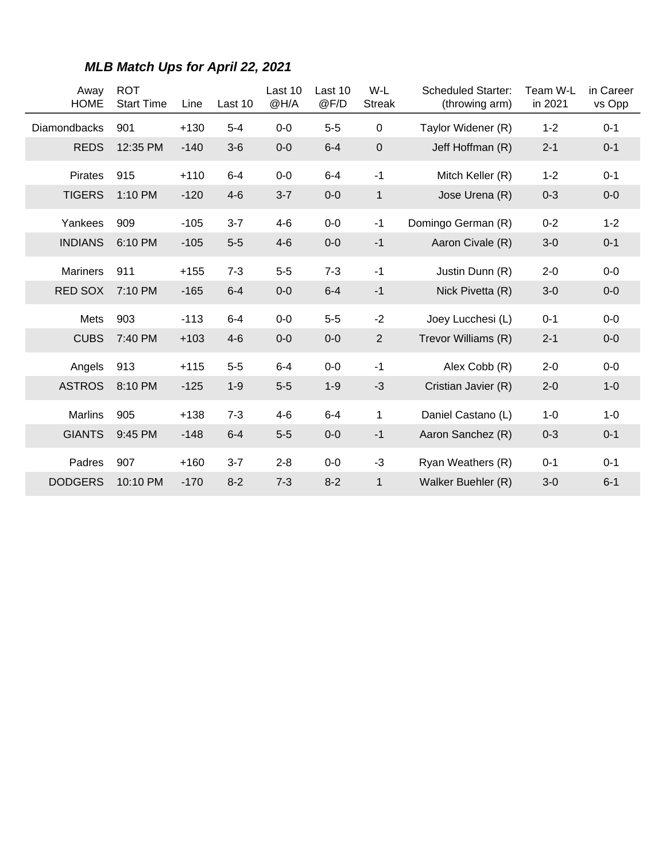| Away<br><b>HOME</b> | <b>ROT</b><br><b>Start Time</b> | Line   | Last 10 | Last 10<br>@H/A | Last 10<br>@F/D | W-L<br><b>Streak</b> | <b>Scheduled Starter:</b><br>(throwing arm) | Team W-L<br>in 2021 | in Career<br>vs Opp |
|---------------------|---------------------------------|--------|---------|-----------------|-----------------|----------------------|---------------------------------------------|---------------------|---------------------|
| <b>Diamondbacks</b> | 901                             | $+130$ | $5-4$   | $0-0$           | $5-5$           | $\mathbf 0$          | Taylor Widener (R)                          | $1 - 2$             | $0 - 1$             |
| <b>REDS</b>         | 12:35 PM                        | $-140$ | $3-6$   | $0-0$           | $6 - 4$         | $\pmb{0}$            | Jeff Hoffman (R)                            | $2 - 1$             | $0 - 1$             |
| <b>Pirates</b>      | 915                             | $+110$ | $6 - 4$ | $0-0$           | $6 - 4$         | $-1$                 | Mitch Keller (R)                            | $1 - 2$             | $0 - 1$             |
| <b>TIGERS</b>       | 1:10 PM                         | $-120$ | $4-6$   | $3 - 7$         | $0-0$           | $\mathbf{1}$         | Jose Urena (R)                              | $0 - 3$             | $0-0$               |
| Yankees             | 909                             | $-105$ | $3 - 7$ | $4 - 6$         | $0-0$           | $-1$                 | Domingo German (R)                          | $0 - 2$             | $1 - 2$             |
| <b>INDIANS</b>      | 6:10 PM                         | $-105$ | $5-5$   | $4-6$           | $0-0$           | $-1$                 | Aaron Civale (R)                            | $3-0$               | $0 - 1$             |
| <b>Mariners</b>     | 911                             | $+155$ | $7 - 3$ | $5-5$           | $7 - 3$         | $-1$                 | Justin Dunn (R)                             | $2 - 0$             | $0-0$               |
| <b>RED SOX</b>      | 7:10 PM                         | $-165$ | $6 - 4$ | $0-0$           | $6 - 4$         | $-1$                 | Nick Pivetta (R)                            | $3-0$               | $0-0$               |
| Mets                | 903                             | $-113$ | $6 - 4$ | $0-0$           | $5-5$           | $-2$                 | Joey Lucchesi (L)                           | $0 - 1$             | $0-0$               |
| <b>CUBS</b>         | 7:40 PM                         | $+103$ | $4-6$   | $0-0$           | $0-0$           | $\overline{2}$       | Trevor Williams (R)                         | $2 - 1$             | $0-0$               |
| Angels              | 913                             | $+115$ | $5-5$   | $6-4$           | $0-0$           | $-1$                 | Alex Cobb (R)                               | $2 - 0$             | $0-0$               |
| <b>ASTROS</b>       | 8:10 PM                         | $-125$ | $1 - 9$ | $5-5$           | $1 - 9$         | $-3$                 | Cristian Javier (R)                         | $2 - 0$             | $1 - 0$             |
| <b>Marlins</b>      | 905                             | $+138$ | $7 - 3$ | $4 - 6$         | $6 - 4$         | 1                    | Daniel Castano (L)                          | $1 - 0$             | $1-0$               |
| <b>GIANTS</b>       | $9:45$ PM                       | $-148$ | $6 - 4$ | $5-5$           | $0-0$           | $-1$                 | Aaron Sanchez (R)                           | $0 - 3$             | $0 - 1$             |
| Padres              | 907                             | $+160$ | $3 - 7$ | $2 - 8$         | $0-0$           | $-3$                 | Ryan Weathers (R)                           | $0 - 1$             | $0 - 1$             |
| <b>DODGERS</b>      | 10:10 PM                        | $-170$ | $8 - 2$ | $7 - 3$         | $8 - 2$         | $\mathbf{1}$         | Walker Buehler (R)                          | $3-0$               | $6 - 1$             |

#### **MLB Match Ups for April 22, 2021**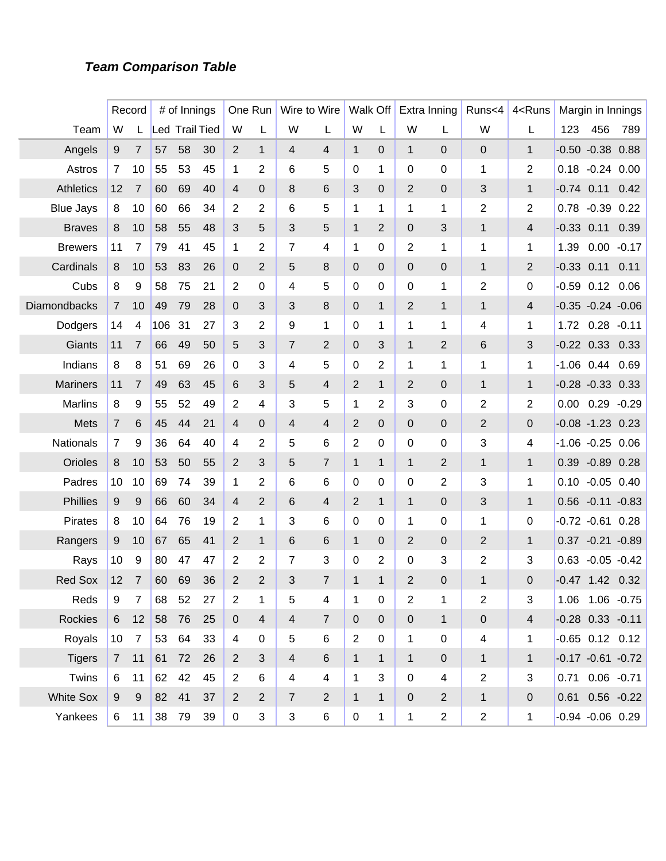#### **Team Comparison Table**

|                  |                 | Record         |     | # of Innings          |    |                | One Run        |                | Wire to Wire   |                | Walk Off       |                | Extra Inning             | Runs<4         | 4 <runs< th=""><th></th><th>Margin in Innings</th><th></th></runs<> |                | Margin in Innings     |         |
|------------------|-----------------|----------------|-----|-----------------------|----|----------------|----------------|----------------|----------------|----------------|----------------|----------------|--------------------------|----------------|---------------------------------------------------------------------|----------------|-----------------------|---------|
| Team             | W               | L              |     | <b>Led Trail Tied</b> |    | W              | L              | W              | L              | W              | L              | W              | L                        | W              | L                                                                   | 123            | 456                   | 789     |
| Angels           | 9               | 7              | 57  | 58                    | 30 | 2              | 1              | 4              | 4              | $\mathbf{1}$   | $\mathbf 0$    | $\mathbf{1}$   | 0                        | $\pmb{0}$      | $\mathbf{1}$                                                        |                | $-0.50 -0.38$         | 0.88    |
| Astros           | $\overline{7}$  | 10             | 55  | 53                    | 45 | 1              | 2              | 6              | 5              | 0              | 1              | 0              | 0                        | 1              | 2                                                                   |                | $0.18 - 0.24$         | 0.00    |
| <b>Athletics</b> | 12              | 7              | 60  | 69                    | 40 | 4              | $\mathbf 0$    | 8              | 6              | 3              | 0              | $\overline{2}$ | 0                        | 3              | $\mathbf{1}$                                                        | $-0.74$ 0.11   |                       | 0.42    |
| <b>Blue Jays</b> | 8               | 10             | 60  | 66                    | 34 | 2              | 2              | 6              | 5              | 1              | 1              | 1              | 1                        | 2              | 2                                                                   |                | $0.78 - 0.39$         | 0.22    |
| <b>Braves</b>    | 8               | 10             | 58  | 55                    | 48 | 3              | 5              | 3              | 5              | $\mathbf 1$    | $\overline{2}$ | 0              | 3                        | $\mathbf{1}$   | 4                                                                   | $-0.33$ $0.11$ |                       | 0.39    |
| <b>Brewers</b>   | 11              | 7              | 79  | 41                    | 45 | 1              | 2              | 7              | 4              | 1              | 0              | 2              | 1                        | 1              | 1                                                                   | 1.39           | 0.00                  | $-0.17$ |
| Cardinals        | 8               | 10             | 53  | 83                    | 26 | 0              | $\overline{2}$ | 5              | 8              | 0              | $\mathbf 0$    | 0              | $\overline{0}$           | $\mathbf{1}$   | $\overline{2}$                                                      | $-0.33$ $0.11$ |                       | 0.11    |
| Cubs             | 8               | 9              | 58  | 75                    | 21 | $\overline{2}$ | 0              | 4              | 5              | $\pmb{0}$      | 0              | 0              | 1                        | 2              | 0                                                                   |                | $-0.59$ 0.12          | 0.06    |
| Diamondbacks     | $\overline{7}$  | 10             | 49  | 79                    | 28 | 0              | 3              | 3              | 8              | 0              | $\mathbf{1}$   | $\overline{2}$ | $\mathbf{1}$             | $\mathbf{1}$   | 4                                                                   |                | $-0.35 -0.24 -0.06$   |         |
| Dodgers          | 14              | 4              | 106 | 31                    | 27 | 3              | 2              | 9              | $\mathbf 1$    | 0              | 1              | 1              | 1                        | 4              | 1                                                                   | 1.72           | $0.28 - 0.11$         |         |
| Giants           | 11              | 7              | 66  | 49                    | 50 | 5              | 3              | $\overline{7}$ | $\overline{2}$ | 0              | 3              | $\mathbf{1}$   | 2                        | 6              | 3                                                                   | $-0.22$ $0.33$ |                       | 0.33    |
| Indians          | 8               | 8              | 51  | 69                    | 26 | $\mathbf 0$    | 3              | 4              | 5              | 0              | 2              | 1              | 1                        | 1              | 1                                                                   |                | $-1.06$ 0.44          | 0.69    |
| <b>Mariners</b>  | 11              | 7              | 49  | 63                    | 45 | 6              | 3              | 5              | 4              | 2              | $\mathbf{1}$   | $\overline{2}$ | $\mathbf{0}$             | 1              | $\mathbf{1}$                                                        |                | $-0.28 - 0.33$ $0.33$ |         |
| <b>Marlins</b>   | 8               | 9              | 55  | 52                    | 49 | 2              | 4              | 3              | 5              | 1              | 2              | 3              | 0                        | 2              | 2                                                                   | 0.00           | $0.29 - 0.29$         |         |
| Mets             | $\overline{7}$  | 6              | 45  | 44                    | 21 | 4              | $\mathbf 0$    | 4              | $\overline{4}$ | 2              | $\mathbf 0$    | 0              | $\overline{0}$           | $\overline{2}$ | 0                                                                   |                | $-0.08 - 1.23$ 0.23   |         |
| Nationals        | $\overline{7}$  | 9              | 36  | 64                    | 40 | 4              | 2              | 5              | 6              | 2              | 0              | 0              | 0                        | 3              | 4                                                                   |                | $-1.06 -0.25 0.06$    |         |
| Orioles          | 8               | 10             | 53  | 50                    | 55 | $\overline{2}$ | 3              | 5              | $\overline{7}$ | $\mathbf{1}$   | $\mathbf{1}$   | $\mathbf{1}$   | 2                        | $\mathbf{1}$   | $\mathbf{1}$                                                        |                | 0.39 -0.89 0.28       |         |
| Padres           | 10              | 10             | 69  | 74                    | 39 | $\mathbf 1$    | 2              | 6              | 6              | 0              | 0              | 0              | 2                        | 3              | 1                                                                   |                | $0.10 - 0.05 0.40$    |         |
| <b>Phillies</b>  | 9               | 9              | 66  | 60                    | 34 | 4              | $\overline{2}$ | 6              | 4              | $\overline{2}$ | $\mathbf{1}$   | $\mathbf{1}$   | 0                        | 3              | $\mathbf{1}$                                                        |                | $0.56 - 0.11 - 0.83$  |         |
| <b>Pirates</b>   | 8               | 10             | 64  | 76                    | 19 | 2              | 1              | 3              | 6              | 0              | 0              | 1              | 0                        | 1              | 0                                                                   |                | $-0.72 -0.61$         | 0.28    |
| Rangers          | 9               | 10             | 67  | 65                    | 41 | $\overline{2}$ | 1              | 6              | 6              | $\mathbf{1}$   | $\overline{0}$ | $\overline{2}$ | 0                        | $\overline{2}$ | $\mathbf{1}$                                                        |                | $0.37 -0.21 -0.89$    |         |
| Rays             | 10              | 9              | 80  | 47                    | 47 | 2              | 2              | 7              | 3              | 0              | 2              | 0              | 3                        | $\overline{2}$ | 3                                                                   |                | $0.63 - 0.05 - 0.42$  |         |
| <b>Red Sox</b>   | 12              | $\overline{7}$ | 60  | 69                    | 36 | $\overline{2}$ | $\overline{2}$ | 3              | 7              | 1              | 1              | 2              | 0                        | $\mathbf 1$    | 0                                                                   |                | $-0.47$ 1.42          | 0.32    |
| Reds             | 9               | $\overline{7}$ | 68  | 52                    | 27 | $\overline{2}$ | 1              | 5              | 4              | 1              | $\mathbf 0$    | $\overline{2}$ | 1                        | $\overline{c}$ | 3                                                                   |                | 1.06  1.06  -0.75     |         |
| Rockies          | 6 <sup>1</sup>  | 12             | 58  | 76                    | 25 | $\overline{0}$ | $\overline{4}$ | $\overline{4}$ | $\overline{7}$ | $\mathbf{0}$   | $\mathbf 0$    | $\mathbf 0$    | $\mathbf{1}$             | $\pmb{0}$      | $\overline{4}$                                                      |                | $-0.28$ 0.33 $-0.11$  |         |
| Royals           | 10              | $\overline{7}$ | 53  | 64                    | 33 | 4              | $\mathbf 0$    | 5              | 6              | $\overline{2}$ | $\mathbf 0$    | $\mathbf 1$    | $\mathbf 0$              | 4              | 1                                                                   |                | $-0.65$ 0.12 0.12     |         |
| <b>Tigers</b>    | $7\overline{ }$ | 11             | 61  | 72                    | 26 | $\overline{2}$ | $\mathfrak{B}$ | $\overline{4}$ | 6              | $\mathbf 1$    | $\mathbf{1}$   | $\mathbf{1}$   | $\pmb{0}$                | $\mathbf{1}$   | $\mathbf{1}$                                                        |                | $-0.17 - 0.61 - 0.72$ |         |
| Twins            | 6               | 11             | 62  | 42                    | 45 | $\overline{2}$ | 6              | $\overline{4}$ | 4              | $\mathbf{1}$   | 3              | $\mathbf 0$    | $\overline{\mathcal{A}}$ | $\overline{2}$ | 3                                                                   |                | $0.71$ $0.06$ $-0.71$ |         |
| <b>White Sox</b> | 9               | 9              | 82  | 41                    | 37 | $\overline{2}$ | 2              | $\overline{7}$ | $\overline{2}$ | $\mathbf{1}$   | $\mathbf{1}$   | $\overline{0}$ | $\overline{2}$           | $\mathbf{1}$   | 0                                                                   |                | 0.61  0.56  -0.22     |         |
| Yankees          | 6               | 11             | 38  | 79                    | 39 | $\mathbf 0$    | 3              | 3              | 6              | $\pmb{0}$      | 1              | $\mathbf{1}$   | $\overline{2}$           | $\overline{2}$ | 1                                                                   |                | $-0.94 - 0.06$ 0.29   |         |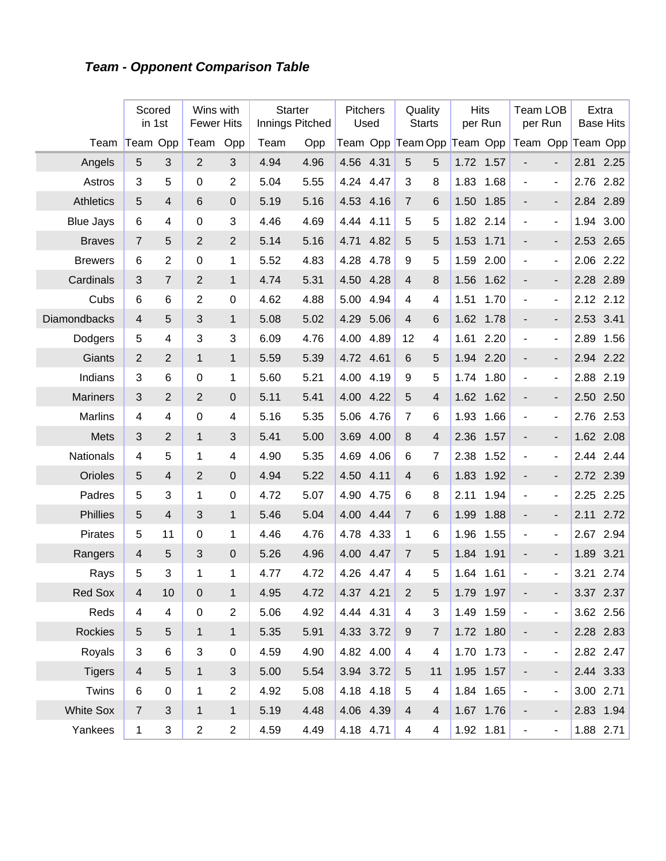## **Team - Opponent Comparison Table**

|                  | Scored                  | in 1st                  | Wins with<br><b>Fewer Hits</b> |                  | <b>Starter</b><br>Innings Pitched |      | Pitchers  | Used      | Quality<br><b>Starts</b>   |                | <b>Hits</b> | per Run   | <b>Team LOB</b><br>per Run |                          |      | Extra<br><b>Base Hits</b> |
|------------------|-------------------------|-------------------------|--------------------------------|------------------|-----------------------------------|------|-----------|-----------|----------------------------|----------------|-------------|-----------|----------------------------|--------------------------|------|---------------------------|
| Team             | Team Opp                |                         | Team                           | Opp              | Team                              | Opp  |           |           | Team Opp Team Opp Team Opp |                |             |           | Team Opp Team Opp          |                          |      |                           |
| Angels           | 5                       | 3                       | $\overline{2}$                 | 3                | 4.94                              | 4.96 | 4.56 4.31 |           | 5                          | 5              |             | 1.72 1.57 |                            | $\overline{a}$           |      | 2.81 2.25                 |
| Astros           | 3                       | 5                       | 0                              | $\overline{2}$   | 5.04                              | 5.55 | 4.24      | 4.47      | 3                          | $\, 8$         | 1.83        | 1.68      | $\blacksquare$             | $\overline{\phantom{a}}$ | 2.76 | 2.82                      |
| <b>Athletics</b> | 5                       | $\overline{4}$          | 6                              | $\overline{0}$   | 5.19                              | 5.16 | 4.53      | 4.16      | $\overline{7}$             | 6              | 1.50        | 1.85      | $\blacksquare$             | $\overline{\phantom{0}}$ | 2.84 | 2.89                      |
| <b>Blue Jays</b> | $6\phantom{1}6$         | 4                       | 0                              | 3                | 4.46                              | 4.69 | 4.44      | 4.11      | 5                          | 5              | 1.82        | 2.14      | $\blacksquare$             | $\overline{\phantom{a}}$ | 1.94 | 3.00                      |
| <b>Braves</b>    | $\overline{7}$          | 5                       | $\overline{2}$                 | $\overline{2}$   | 5.14                              | 5.16 | 4.71      | 4.82      | 5                          | 5              | 1.53        | 1.71      | $\overline{a}$             | $\overline{\phantom{0}}$ | 2.53 | 2.65                      |
| <b>Brewers</b>   | $6\phantom{1}6$         | $\overline{2}$          | 0                              | 1                | 5.52                              | 4.83 | 4.28      | 4.78      | 9                          | 5              | 1.59        | 2.00      | ÷,                         | $\overline{\phantom{a}}$ | 2.06 | 2.22                      |
| Cardinals        | 3                       | $\overline{7}$          | $\overline{2}$                 | $\mathbf{1}$     | 4.74                              | 5.31 | 4.50      | 4.28      | $\overline{4}$             | 8              | 1.56        | 1.62      | $\blacksquare$             | $\overline{\phantom{0}}$ | 2.28 | 2.89                      |
| Cubs             | $6\phantom{1}6$         | 6                       | $\overline{2}$                 | $\boldsymbol{0}$ | 4.62                              | 4.88 | 5.00      | 4.94      | 4                          | 4              | 1.51        | 1.70      | $\blacksquare$             | $\overline{\phantom{a}}$ | 2.12 | 2.12                      |
| Diamondbacks     | $\overline{4}$          | 5                       | 3                              | $\mathbf{1}$     | 5.08                              | 5.02 | 4.29      | 5.06      | 4                          | 6              | 1.62        | 1.78      | $\blacksquare$             | $\overline{\phantom{0}}$ | 2.53 | 3.41                      |
| Dodgers          | 5                       | $\overline{\mathbf{4}}$ | 3                              | 3                | 6.09                              | 4.76 | 4.00      | 4.89      | 12                         | $\overline{4}$ | 1.61        | 2.20      | $\blacksquare$             | $\overline{\phantom{a}}$ | 2.89 | 1.56                      |
| Giants           | $\overline{2}$          | $\overline{2}$          | $\mathbf{1}$                   | $\mathbf{1}$     | 5.59                              | 5.39 | 4.72      | 4.61      | 6                          | 5              | 1.94        | 2.20      | $\blacksquare$             | $\overline{\phantom{0}}$ | 2.94 | 2.22                      |
| Indians          | 3                       | 6                       | 0                              | 1                | 5.60                              | 5.21 | 4.00      | 4.19      | 9                          | 5              | 1.74        | 1.80      | $\blacksquare$             | $\overline{\phantom{a}}$ | 2.88 | 2.19                      |
| <b>Mariners</b>  | 3                       | $\overline{2}$          | $\overline{2}$                 | $\overline{0}$   | 5.11                              | 5.41 | 4.00      | 4.22      | 5                          | 4              | 1.62        | 1.62      | $\blacksquare$             | $\overline{\phantom{0}}$ | 2.50 | 2.50                      |
| <b>Marlins</b>   | 4                       | 4                       | 0                              | 4                | 5.16                              | 5.35 | 5.06      | 4.76      | $\overline{7}$             | 6              | 1.93        | 1.66      | $\blacksquare$             | $\overline{\phantom{a}}$ | 2.76 | 2.53                      |
| Mets             | 3                       | $\overline{2}$          | $\mathbf{1}$                   | 3                | 5.41                              | 5.00 | 3.69      | 4.00      | 8                          | 4              | 2.36        | 1.57      | $\overline{\phantom{a}}$   | $\overline{\phantom{0}}$ |      | 1.62 2.08                 |
| Nationals        | 4                       | 5                       | $\mathbf{1}$                   | 4                | 4.90                              | 5.35 | 4.69      | 4.06      | 6                          | 7              | 2.38        | 1.52      | $\blacksquare$             | $\overline{\phantom{a}}$ | 2.44 | 2.44                      |
| Orioles          | 5                       | $\overline{4}$          | $\overline{2}$                 | 0                | 4.94                              | 5.22 | 4.50      | 4.11      | $\overline{4}$             | 6              | 1.83        | 1.92      | $\blacksquare$             | $\overline{\phantom{0}}$ |      | 2.72 2.39                 |
| Padres           | 5                       | 3                       | $\mathbf{1}$                   | $\pmb{0}$        | 4.72                              | 5.07 | 4.90      | 4.75      | 6                          | $\, 8$         | 2.11        | 1.94      | $\blacksquare$             | $\overline{\phantom{a}}$ | 2.25 | 2.25                      |
| Phillies         | 5                       | $\overline{4}$          | 3                              | $\mathbf{1}$     | 5.46                              | 5.04 | 4.00      | 4.44      | $\overline{7}$             | 6              | 1.99        | 1.88      | $\blacksquare$             | $\overline{\phantom{0}}$ | 2.11 | 2.72                      |
| Pirates          | 5                       | 11                      | 0                              | 1                | 4.46                              | 4.76 | 4.78      | 4.33      | 1                          | 6              | 1.96        | 1.55      | $\blacksquare$             | $\overline{\phantom{a}}$ | 2.67 | 2.94                      |
| Rangers          | 4                       | 5                       | 3                              | $\mathbf 0$      | 5.26                              | 4.96 | 4.00      | 4.47      | $\overline{7}$             | 5              | 1.84        | 1.91      | $\overline{\phantom{a}}$   | $\overline{\phantom{0}}$ | 1.89 | 3.21                      |
| Rays             | 5                       | 3                       | 1                              | 1                | 4.77                              | 4.72 | 4.26      | 4.47      | 4                          | 5              | 1.64        | 1.61      | ÷,                         | $\blacksquare$           | 3.21 | 2.74                      |
| Red Sox          | 4                       | 10                      | 0                              | $\mathbf{1}$     | 4.95                              | 4.72 | 4.37 4.21 |           | 2                          | 5              |             | 1.79 1.97 |                            |                          |      | 3.37 2.37                 |
| Reds             | $\overline{\mathbf{4}}$ | 4                       | 0                              | $\overline{2}$   | 5.06                              | 4.92 | 4.44 4.31 |           | 4                          | $\sqrt{3}$     |             | 1.49 1.59 | $\overline{\phantom{a}}$   | $\blacksquare$           |      | 3.62 2.56                 |
| <b>Rockies</b>   | $\sqrt{5}$              | 5                       | $\mathbf{1}$                   | $\mathbf{1}$     | 5.35                              | 5.91 | 4.33 3.72 |           | $\boldsymbol{9}$           | $\overline{7}$ |             | 1.72 1.80 | $\overline{\phantom{a}}$   |                          |      | 2.28 2.83                 |
| Royals           | $\mathbf{3}$            | 6                       | 3                              | $\boldsymbol{0}$ | 4.59                              | 4.90 | 4.82 4.00 |           | 4                          | 4              |             | 1.70 1.73 | $\blacksquare$             | $\overline{\phantom{a}}$ |      | 2.82 2.47                 |
| <b>Tigers</b>    | $\overline{4}$          | 5                       | $\mathbf{1}$                   | $\mathfrak{S}$   | 5.00                              | 5.54 | 3.94 3.72 |           | $\sqrt{5}$                 | 11             |             | 1.95 1.57 | $\overline{\phantom{a}}$   |                          |      | 2.44 3.33                 |
| Twins            | 6                       | $\mathsf 0$             | $\mathbf 1$                    | $\overline{2}$   | 4.92                              | 5.08 |           | 4.18 4.18 | 5                          | 4              |             | 1.84 1.65 | $\overline{\phantom{a}}$   | $\blacksquare$           |      | 3.00 2.71                 |
| <b>White Sox</b> | $\overline{7}$          | 3                       | $\mathbf{1}$                   | $\mathbf{1}$     | 5.19                              | 4.48 | 4.06 4.39 |           | $\overline{4}$             | $\overline{4}$ |             | 1.67 1.76 | $\overline{\phantom{a}}$   | $\overline{\phantom{a}}$ |      | 2.83 1.94                 |
| Yankees          | $\mathbf{1}$            | 3                       | $\overline{\mathbf{c}}$        | $\overline{c}$   | 4.59                              | 4.49 |           | 4.18 4.71 | $\overline{4}$             | 4              |             | 1.92 1.81 | $\blacksquare$             | $\blacksquare$           |      | 1.88 2.71                 |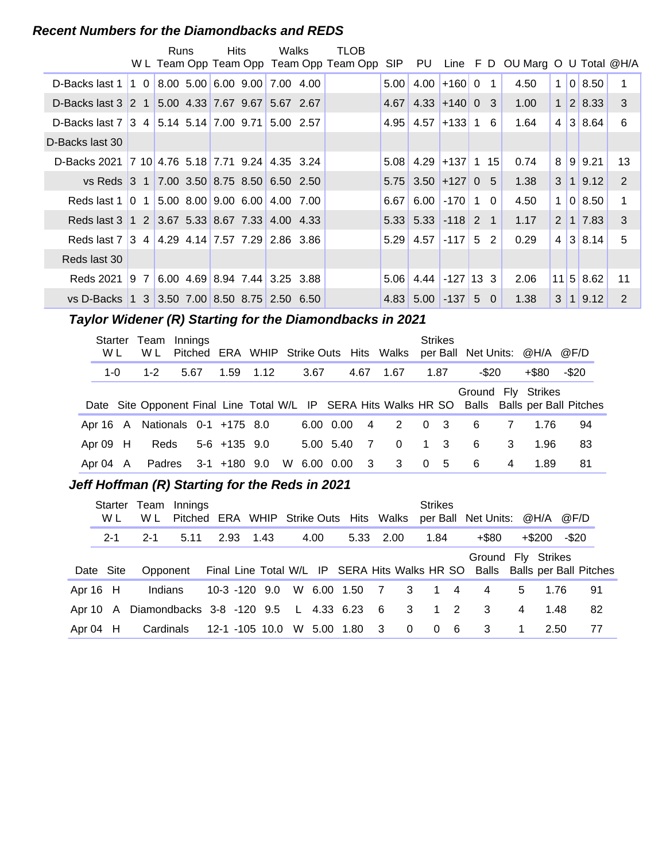#### **Recent Numbers for the Diamondbacks and REDS**

|                                                  |                                                      | <b>Runs</b> | <b>Hits</b> | Walks                           | <b>TLOB</b><br>W L Team Opp Team Opp Team Opp Team Opp SIP PU |      |                             |                      |              |          | Line $F D$ OU Marg O U Total $@H/A$ |              |                |                             |               |
|--------------------------------------------------|------------------------------------------------------|-------------|-------------|---------------------------------|---------------------------------------------------------------|------|-----------------------------|----------------------|--------------|----------|-------------------------------------|--------------|----------------|-----------------------------|---------------|
| D-Backs last 1                                   | $\begin{bmatrix} 1 & 0 \end{bmatrix}$                |             |             | $8.00$ 5.00 6.00 9.00 7.00 4.00 |                                                               | 5.00 | 4.00                        | $ +160 0$            |              |          | 4.50                                | $\mathbf{1}$ |                | 0 8.50                      | 1             |
| D-Backs last 3 2 1                               |                                                      |             |             | 5.00 4.33 7.67 9.67 5.67 2.67   |                                                               | 4.67 |                             | $4.33 + 14000$ 3     |              |          | 1.00                                |              |                | 1 2 8.33                    | 3             |
| D-Backs last 7 3 4 5.14 5.14 7.00 9.71 5.00 2.57 |                                                      |             |             |                                 |                                                               | 4.95 | 4.57                        | $ +133 $ 1           |              | 6        | 1.64                                |              |                | $4 \mid 3 \mid 8.64$        | 6             |
| D-Backs last 30                                  |                                                      |             |             |                                 |                                                               |      |                             |                      |              |          |                                     |              |                |                             |               |
| D-Backs 2021 7 10 4.76 5.18 7.71 9.24 4.35 3.24  |                                                      |             |             |                                 |                                                               |      | $5.08$ 4.29 + 137 1 15      |                      |              |          | 0.74                                | 8 9          |                | 9.21                        | 13            |
| vs Reds 3 1 7.00 3.50 8.75 8.50 6.50 2.50        |                                                      |             |             |                                 |                                                               |      | $5.75$ 3.50 + 127 0 5       |                      |              |          | 1.38                                | 3 1          |                | 9.12                        | 2             |
| Reds last 1                                      | $\begin{bmatrix} 0 & 1 \end{bmatrix}$                |             |             | 5.00 8.00 9.00 6.00 4.00 7.00   |                                                               | 6.67 | 6.00                        | $\vert$ -170 $\vert$ | $\mathbf{1}$ | $\Omega$ | 4.50                                | $\mathbf{1}$ |                | 018.50                      | 1             |
| Reds last 3 1 2 3.67 5.33 8.67 7.33 4.00 4.33    |                                                      |             |             |                                 |                                                               |      | $5.33$ $5.33$ $-118$ 2 1    |                      |              |          | 1.17                                |              |                | 2 1 7.83                    | 3             |
| Reds last 7 3 4 4.29 4.14 7.57 7.29 2.86 3.86    |                                                      |             |             |                                 |                                                               |      | $5.29$ 4.57                 | $-117$ 5             |              | 2        | 0.29                                |              |                | $4 \mid 3 \mid 8.14$        | 5             |
| Reds last 30                                     |                                                      |             |             |                                 |                                                               |      |                             |                      |              |          |                                     |              |                |                             |               |
| Reds 2021                                        | $\begin{array}{ccc} \text{9} & \text{7} \end{array}$ |             |             | $6.00$ 4.69 8.94 7.44 3.25 3.88 |                                                               |      | $5.06$   4.44   -127   13 3 |                      |              |          | 2.06                                |              |                | $11 \,   \, 5 \,   \, 8.62$ | 11            |
| vs D-Backs 1 3 3.50 7.00 8.50 8.75 2.50 6.50     |                                                      |             |             |                                 |                                                               |      | $4.83$ 5.00 $-137$          |                      |              | 5 0      | 1.38                                | 3            | $\overline{1}$ | 9.12                        | $\mathcal{P}$ |

#### **Taylor Widener (R) Starting for the Diamondbacks in 2021**

| Starter<br>W L | Team<br>W L                     | Innings |                  |  |             |           |              | Pitched ERA WHIP Strike Outs Hits Walks |                | <b>Strikes</b> |          |   | per Ball Net Units: @H/A @F/D |                                                                                               |
|----------------|---------------------------------|---------|------------------|--|-------------|-----------|--------------|-----------------------------------------|----------------|----------------|----------|---|-------------------------------|-----------------------------------------------------------------------------------------------|
| $1 - 0$        | $1 - 2$                         | 5.67    | 1.59 1.12        |  | 3.67        |           | 4.67         | 1.67                                    |                | 1.87           | $-$ \$20 |   | +\$80                         | $-$ \$20                                                                                      |
|                |                                 |         |                  |  |             |           |              |                                         |                |                |          |   | Ground Fly Strikes            |                                                                                               |
|                |                                 |         |                  |  |             |           |              |                                         |                |                |          |   |                               | Date Site Opponent Final Line Total W/L IP SERA Hits Walks HR SO Balls Balls per Ball Pitches |
|                | Apr 16 A Nationals 0-1 +175 8.0 |         |                  |  |             | 6.00 0.00 | 4            | 2                                       | $\overline{0}$ | $\mathbf{3}$   | 6        | 7 | 1.76                          | 94                                                                                            |
| Apr $09$ H     | <b>Reds</b>                     |         | $5-6$ +135 $9.0$ |  |             | 5.00 5.40 | - 7          | $\Omega$                                | $\overline{1}$ | $\mathbf{3}$   | 6        | 3 | 1.96                          | 83                                                                                            |
| Apr 04 A       | Padres                          |         | $3-1$ +180 9.0   |  | W 6.00 0.00 |           | $\mathbf{3}$ | 3                                       |                | 0 <sub>5</sub> | -6       | 4 | 1.89                          | 81                                                                                            |

#### **..........Jeff Hoffman (R) Starting for the Reds in 2021**

| Starter<br>W L | W L                                     | Team Innings<br>Pitched ERA WHIP Strike Outs Hits Walks |                  |           |                |      |               |      |                            | <b>Strikes</b>                         | per Ball Net Units: @H/A @F/D                                              |                |           |       |    |
|----------------|-----------------------------------------|---------------------------------------------------------|------------------|-----------|----------------|------|---------------|------|----------------------------|----------------------------------------|----------------------------------------------------------------------------|----------------|-----------|-------|----|
| $2 - 1$        | $2 - 1$                                 | 5.11                                                    |                  | 2.93 1.43 |                | 4.00 | 5.33          | 2.00 |                            | 1.84                                   | $+$ \$80                                                                   |                | $+$ \$200 | -\$20 |    |
|                |                                         |                                                         |                  |           |                |      |               |      |                            |                                        | Ground Fly Strikes                                                         |                |           |       |    |
| Date Site      | Opponent                                |                                                         |                  |           |                |      |               |      |                            |                                        | Final Line Total W/L IP SERA Hits Walks HR SO Balls Balls per Ball Pitches |                |           |       |    |
| Apr 16 H       | Indians                                 |                                                         | $10-3 - 120$ 9.0 |           |                |      | W 6.00 1.50 7 |      | $\overline{\phantom{a}}$ 3 | $\begin{array}{ccc} 1 & 4 \end{array}$ | 4                                                                          | 5              | 1.76      |       | 91 |
| Apr 10 A       | Diamondbacks 3-8 -120 9.5 L 4.33 6.23 6 |                                                         |                  |           |                |      |               |      | $\overline{\phantom{a}}$ 3 | $1\quad 2$                             | -3                                                                         | 4              | 1.48      |       | 82 |
| Apr $04$ H     | Cardinals                               |                                                         |                  |           | 12-1 -105 10.0 |      | W 5.00 1.80 3 |      | $\overline{\mathbf{0}}$    | $0\quad 6$                             | $\overline{\mathbf{3}}$                                                    | $\overline{1}$ | 2.50      |       | 77 |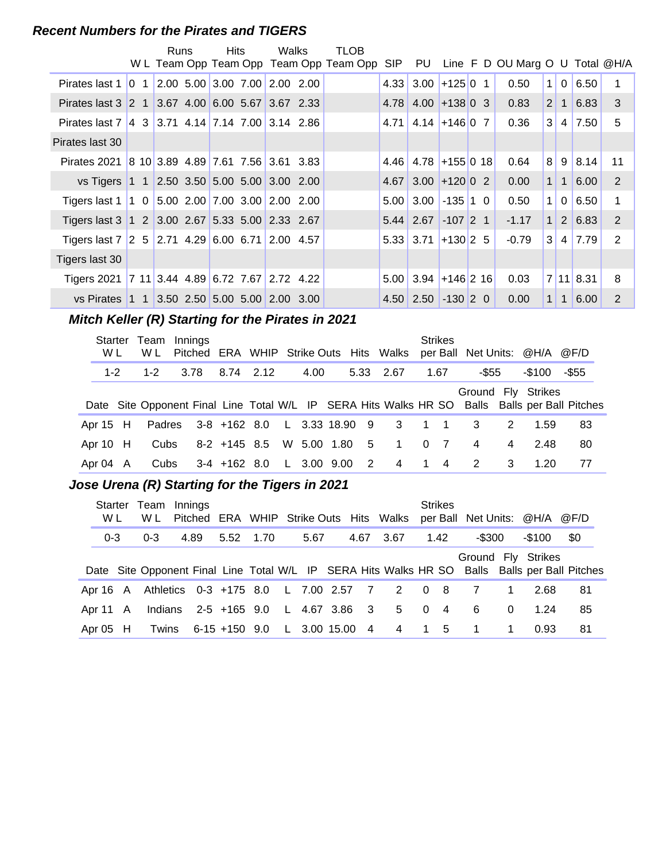#### **Recent Numbers for the Pirates and TIGERS**

|                                                         | Runs | <b>Hits</b> | Walks                           | <b>TLOB</b>                             |                   |                        |                  |                                 |                |                |               |                |
|---------------------------------------------------------|------|-------------|---------------------------------|-----------------------------------------|-------------------|------------------------|------------------|---------------------------------|----------------|----------------|---------------|----------------|
|                                                         |      |             |                                 | W L Team Opp Team Opp Team Opp Team Opp |                   | SIP PU                 |                  | Line F D OU Marg O U Total @H/A |                |                |               |                |
| Pirates last $1 \mid 0 \mid 1$                          |      |             | $2.00$ 5.00 3.00 7.00 2.00 2.00 |                                         | 4.33              |                        | $3.00$ +125 0 1  | 0.50                            | 1 <sup>1</sup> | $\overline{0}$ | 6.50          | 1              |
| Pirates last 3 2 1 3.67 4.00 6.00 5.67 3.67 2.33        |      |             |                                 |                                         | 4.78              |                        | $4.00 + 13800$ 3 | 0.83                            | 2 <sup>2</sup> | 1 <sup>1</sup> | 6.83          | 3              |
| Pirates last 7 4 3 3.71 4.14 7.14 7.00 3.14 2.86        |      |             |                                 |                                         | 4.71              | $4.14$ + 146 0 7       |                  | 0.36                            | 3 <sup>1</sup> | 4 <sup>1</sup> | 7.50          | 5              |
| Pirates last 30                                         |      |             |                                 |                                         |                   |                        |                  |                                 |                |                |               |                |
| Pirates 2021 8 10 3.89 4.89 7.61 7.56 3.61 3.83         |      |             |                                 |                                         | 4.46              | $4.78$ +155 0 18       |                  | 0.64                            | 8 <sup>1</sup> |                | $9 \mid 8.14$ | 11             |
| vs Tigers 1 1 2.50 3.50 5.00 5.00 3.00 2.00             |      |             |                                 |                                         | 4.67              |                        | $3.00 + 120002$  | 0.00                            | 1 <sup>1</sup> | 1              | 6.00          | $\overline{2}$ |
| Tigers last 1   1 0   5.00 2.00   7.00 3.00   2.00 2.00 |      |             |                                 |                                         | 5.00              |                        | $3.00$ -135 1 0  | 0.50                            | 1 <sup>1</sup> | $\overline{0}$ | 6.50          | 1              |
| Tigers last 3 1 2 3.00 2.67 5.33 5.00 2.33 2.67         |      |             |                                 |                                         |                   | $5.44$ 2.67 -107 2 1   |                  | $-1.17$                         | 1 <sup>1</sup> |                | 2   6.83      | 2              |
| Tigers last 7 2 5 2.71 4.29 6.00 6.71 2.00 4.57         |      |             |                                 |                                         |                   | $5.33$ 3.71 + 130 2 5  |                  | $-0.79$                         | 3 <sup>1</sup> |                | $4 \mid 7.79$ | 2              |
| Tigers last 30                                          |      |             |                                 |                                         |                   |                        |                  |                                 |                |                |               |                |
| Tigers 2021 7 11 3.44 4.89 6.72 7.67 2.72 4.22          |      |             |                                 |                                         | 5.00 <sub>1</sub> | $3.94$ + 146 2 16      |                  | 0.03                            |                |                | 7 11 8.31     | 8              |
| vs Pirates 1 1 3.50 2.50 5.00 5.00 2.00 3.00            |      |             |                                 |                                         |                   | $4.50$ 2.50 $-130$ 2 0 |                  | 0.00                            | 1 <sup>1</sup> | 1 <sup>1</sup> | 6.00          | 2              |

#### **Mitch Keller (R) Starting for the Pirates in 2021**

| W L        | Starter Team Innings<br>W L |      |                            |  |      |  | Pitched ERA WHIP Strike Outs Hits Walks             | <b>Strikes</b> |                |                | per Ball Net Units: @H/A @F/D |                                                                                               |
|------------|-----------------------------|------|----------------------------|--|------|--|-----------------------------------------------------|----------------|----------------|----------------|-------------------------------|-----------------------------------------------------------------------------------------------|
| $1 - 2$    | $1 - 2$                     | 3.78 | 8.74 2.12                  |  | 4.00 |  | 5.33 2.67                                           | 1.67           | -\$55          |                | -\$100                        | -\$55                                                                                         |
|            |                             |      |                            |  |      |  |                                                     |                |                |                | Ground Fly Strikes            | Date Site Opponent Final Line Total W/L IP SERA Hits Walks HR SO Balls Balls per Ball Pitches |
|            |                             |      |                            |  |      |  | Apr 15 H Padres 3-8 +162 8.0 L 3.33 18.90 9 3 1 1 3 |                |                | 2              | 1.59                          | 83                                                                                            |
| Apr $10$ H | Cubs                        |      |                            |  |      |  | 8-2 +145 8.5 W 5.00 1.80 5 1 0 7                    |                | $\overline{4}$ | $\overline{4}$ | 2.48                          | 80                                                                                            |
| Apr 04 A   | Cubs                        |      | 3-4 +162 8.0 L 3.00 9.00 2 |  |      |  | $\overline{4}$                                      | $1 \quad 4$    | $\overline{2}$ | 3              | 1.20                          | 77                                                                                            |

#### **..........Jose Urena (R) Starting for the Tigers in 2021**

| Starter<br>W L |          | Team Innings<br>W L                  |      |                                    |  |      |      | Pitched ERA WHIP Strike Outs Hits Walks |                | <b>Strikes</b> | per Ball Net Units: @H/A @F/D |          |        |                                                                                               |  |
|----------------|----------|--------------------------------------|------|------------------------------------|--|------|------|-----------------------------------------|----------------|----------------|-------------------------------|----------|--------|-----------------------------------------------------------------------------------------------|--|
| $0 - 3$        |          | $0 - 3$                              | 4.89 | 5.52 1.70                          |  | 5.67 | 4.67 | 3.67                                    |                | 1.42           | -\$300                        |          | -\$100 | \$0                                                                                           |  |
|                |          |                                      |      |                                    |  |      |      |                                         |                |                | Ground Fly Strikes            |          |        |                                                                                               |  |
|                |          |                                      |      |                                    |  |      |      |                                         |                |                |                               |          |        | Date Site Opponent Final Line Total W/L IP SERA Hits Walks HR SO Balls Balls per Ball Pitches |  |
|                | Apr 16 A | Athletics 0-3 +175 8.0 L 7.00 2.57 7 |      |                                    |  |      |      | 2 0 8                                   |                |                |                               |          | 2.68   | 81                                                                                            |  |
| Apr 11 A       |          | Indians                              |      | 2-5 +165 9.0 L 4.67 3.86           |  |      | $-3$ | 5                                       | $\overline{0}$ | $\overline{4}$ | 6                             | $\Omega$ | 1.24   | 85                                                                                            |  |
| Apr $05$ H     |          |                                      |      | Twins 6-15 +150 9.0 L 3.00 15.00 4 |  |      |      | 4 1 5                                   |                |                | $\blacksquare$ 1              |          | 0.93   | 81                                                                                            |  |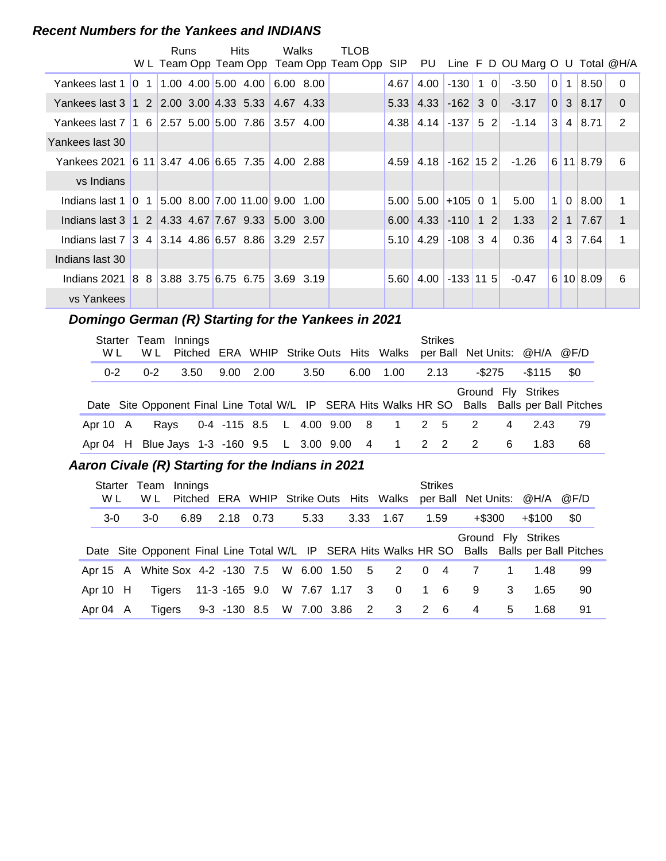#### **Recent Numbers for the Yankees and INDIANS**

|                                                                  | Runs |  | <b>Hits</b> | Walks       | TLOB                                    |            |                            |             |         |                                    |                 |                |               |             |
|------------------------------------------------------------------|------|--|-------------|-------------|-----------------------------------------|------------|----------------------------|-------------|---------|------------------------------------|-----------------|----------------|---------------|-------------|
|                                                                  |      |  |             |             | W L Team Opp Team Opp Team Opp Team Opp | <b>SIP</b> |                            |             |         | PU Line F D OU Marg O U Total @H/A |                 |                |               |             |
| Yankees last 1 0 1 1.00 4.00 5.00 4.00                           |      |  |             | $6.00$ 8.00 |                                         | 4.67       | 4.00                       | $-130$      | $1 \ 0$ | $-3.50$                            | $\overline{0}$  | 1              | 8.50          | $\Omega$    |
| Yankees last 3   1 2   2.00 3.00   4.33 5.33   4.67 4.33         |      |  |             |             |                                         |            | $5.33$ 4.33 -162 3 0       |             |         | $-3.17$                            |                 |                | 0 3 8.17      | $\Omega$    |
| Yankees last 7   1   6   2.57   5.00   5.00   7.86   3.57   4.00 |      |  |             |             |                                         |            | $4.38$   4.14   -137   5 2 |             |         | $-1.14$                            | 3 <sup>1</sup>  | $\vert$ 4      | 8.71          | 2           |
| Yankees last 30                                                  |      |  |             |             |                                         |            |                            |             |         |                                    |                 |                |               |             |
| Yankees 2021 6 11 3.47 4.06 6.65 7.35                            |      |  |             | 4.00 2.88   |                                         | 4.59       | $4.18$ -162 15 2           |             |         | $-1.26$                            |                 |                | 6 11 8.79     | 6           |
| vs Indians                                                       |      |  |             |             |                                         |            |                            |             |         |                                    |                 |                |               |             |
| Indians last 1 0 1 5.00 8.00 7.00 11.00 9.00 1.00                |      |  |             |             |                                         |            | $5.00$ 5.00 +105 0 1       |             |         | 5.00                               | 1 <sup>1</sup>  | 0 <sup>1</sup> | 8.00          | 1           |
| Indians last 3 1 2 4.33 4.67 7.67 9.33 5.00 3.00                 |      |  |             |             |                                         |            | $6.00$ 4.33 -110 1 2       |             |         | 1.33                               | 2 <sup>1</sup>  |                | $1 \mid 7.67$ | $\mathbf 1$ |
| Indians last 7 3 4 3.14 4.86 6.57 8.86 3.29 2.57                 |      |  |             |             |                                         |            | $5.10$   4.29   -108   3 4 |             |         | 0.36                               | $\vert 4 \vert$ |                | $3 \mid 7.64$ | 1           |
| Indians last 30                                                  |      |  |             |             |                                         |            |                            |             |         |                                    |                 |                |               |             |
| Indians 2021 8 8 3.88 3.75 6.75 6.75                             |      |  |             | $3.69$ 3.19 |                                         | 5.60       | 4.00                       | $-133$ 11 5 |         | $-0.47$                            |                 |                | 6 10 8.09     | 6           |
| vs Yankees                                                       |      |  |             |             |                                         |            |                            |             |         |                                    |                 |                |               |             |

#### **..........Domingo German (R) Starting for the Yankees in 2021**

| W L      | Starter Team Innings<br>W L |      |  |                   |      |      |                                                     | <b>Strikes</b> | Pitched ERA WHIP Strike Outs Hits Walks per Ball Net Units: @H/A @F/D |   |        |                                                                                               |
|----------|-----------------------------|------|--|-------------------|------|------|-----------------------------------------------------|----------------|-----------------------------------------------------------------------|---|--------|-----------------------------------------------------------------------------------------------|
| $0 - 2$  | $0 - 2$                     | 3.50 |  | $9.00 \quad 2.00$ | 3.50 | 6.00 | 1.00 2.13                                           |                | -\$275                                                                |   | -\$115 | -\$0                                                                                          |
|          |                             |      |  |                   |      |      |                                                     |                | Ground Fly Strikes                                                    |   |        | Date Site Opponent Final Line Total W/L IP SERA Hits Walks HR SO Balls Balls per Ball Pitches |
| Apr 10 A | Ravs                        |      |  |                   |      |      | 0-4 -115 8.5 L 4.00 9.00 8 1 2 5                    |                | -2                                                                    | 4 | 2.43   | 79                                                                                            |
|          |                             |      |  |                   |      |      | Apr 04 H Blue Jays 1-3 -160 9.5 L 3.00 9.00 4 1 2 2 |                | $\overline{2}$                                                        | 6 | 1.83   | 68                                                                                            |

#### **..........Aaron Civale (R) Starting for the Indians in 2021**

| Starter<br>W L | Team Innings<br>W L |      |                            |  |      |               | Pitched ERA WHIP Strike Outs Hits Walks         |            | <b>Strikes</b> |        |   | per Ball Net Units: @H/A @F/D |                                                                                               |
|----------------|---------------------|------|----------------------------|--|------|---------------|-------------------------------------------------|------------|----------------|--------|---|-------------------------------|-----------------------------------------------------------------------------------------------|
| $3-0$          | $3-0$               | 6.89 | 2.18 0.73                  |  | 5.33 | 3.33          | 1.67                                            |            | 1.59           | +\$300 |   | $+\$100$                      | \$0                                                                                           |
|                |                     |      |                            |  |      |               |                                                 |            |                |        |   | Ground Fly Strikes            |                                                                                               |
|                |                     |      |                            |  |      |               |                                                 |            |                |        |   |                               | Date Site Opponent Final Line Total W/L IP SERA Hits Walks HR SO Balls Balls per Ball Pitches |
|                |                     |      |                            |  |      |               | Apr 15 A White Sox 4-2 -130 7.5 W 6.00 1.50 5 2 |            | $0\quad 4$     |        |   | 1.48                          | 99                                                                                            |
| Apr $10$ H     | Tigers              |      | 11-3 -165 9.0              |  |      | W 7.67 1.17 3 | $\overline{\mathbf{0}}$                         | $1\quad 6$ |                | 9      | 3 | 1.65                          | 90                                                                                            |
| Apr 04 A       | Tigers              |      | 9-3 -130 8.5 W 7.00 3.86 2 |  |      |               | $3\quad 2\quad 6$                               |            |                | 4      | 5 | 1.68                          | 91                                                                                            |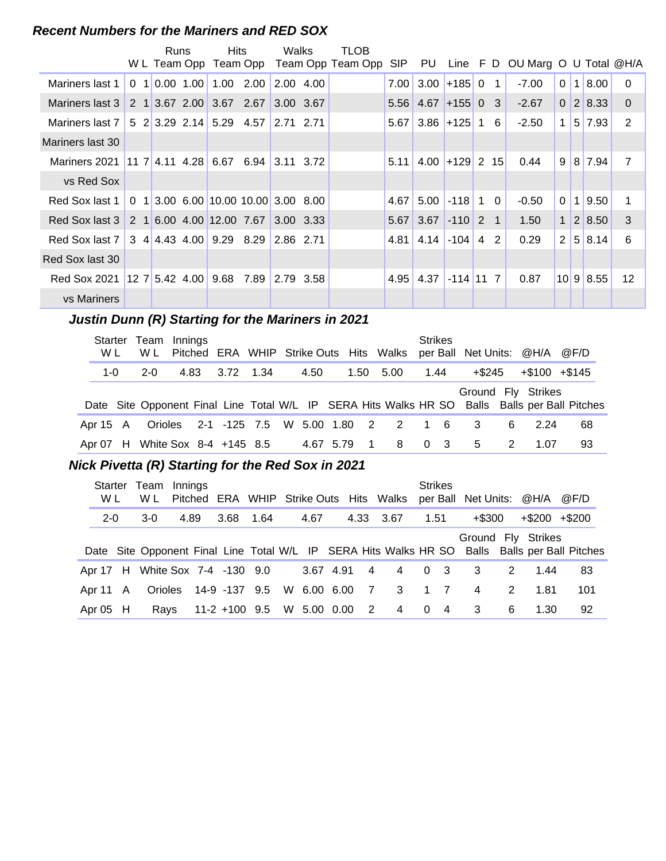#### **Recent Numbers for the Mariners and RED SOX**

|                                         |  | Runs            | <b>Hits</b>                               |           | Walks     |           | TLOB                       |                   |                     |                  |                |          |                                 |          |                |               |                 |
|-----------------------------------------|--|-----------------|-------------------------------------------|-----------|-----------|-----------|----------------------------|-------------------|---------------------|------------------|----------------|----------|---------------------------------|----------|----------------|---------------|-----------------|
|                                         |  | W L Team Opp    |                                           |           |           |           | Team Opp Team Opp Team Opp | <b>SIP</b>        | PU                  |                  |                |          | Line F D OU Marg O U Total @H/A |          |                |               |                 |
| Mariners last 1                         |  | $0$ 1 0.00 1.00 |                                           | 1.00 2.00 | 2.00 4.00 |           |                            | 7.00 <sub>l</sub> |                     | $3.00$ +185 0    | $\overline{1}$ |          | $-7.00$                         | $\Omega$ | $\mathbf{1}$   | 8.00          | $\Omega$        |
| Mariners last 3                         |  |                 | 2 1 3.67 2.00 3.67 2.67                   |           | 3.00 3.67 |           |                            |                   | $5.56$ 4.67 + 155 0 |                  | -3             |          | $-2.67$                         | $\Omega$ |                | 2 8.33        | $\Omega$        |
| Mariners last 7                         |  |                 | 5 2 3.29 2.14 5.29 4.57                   |           | 2.71 2.71 |           |                            |                   | $5.67$ 3.86 + 125 1 |                  |                | 6        | $-2.50$                         | 1        |                | $5 \mid 7.93$ | 2               |
| Mariners last 30                        |  |                 |                                           |           |           |           |                            |                   |                     |                  |                |          |                                 |          |                |               |                 |
| Mariners 2021                           |  |                 | $11 \, 7 \, 4.11 \, 4.28 \, 6.67 \, 6.94$ |           | 3.11 3.72 |           |                            | 5.11              |                     | $4.00$ +129 2 15 |                |          | 0.44                            | 9        |                | 8 7.94        | 7               |
| vs Red Sox                              |  |                 |                                           |           |           |           |                            |                   |                     |                  |                |          |                                 |          |                |               |                 |
| Red Sox last 1                          |  |                 | $0$ 1 3.00 6.00 10.00 10.00 3.00 8.00     |           |           |           |                            | 4.67              | 5.00                | $-118$ 1         |                | $\Omega$ | $-0.50$                         | $\Omega$ | $\blacksquare$ | 9.50          | 1               |
| Red Sox last 3 2 1 6.00 4.00 12.00 7.67 |  |                 |                                           |           | 3.00 3.33 |           |                            |                   | $5.67$ 3.67 -110 2  |                  | $\overline{1}$ |          | 1.50                            | 1        |                | 2 8.50        | 3               |
| Red Sox last 7                          |  |                 | $3 \frac{4}{4.43}$ 4.00 9.29 8.29         |           | 2.86 2.71 |           |                            | 4.81              |                     | $4.14$ -104 4    |                | 2        | 0.29                            | 2        |                | 5 8.14        | 6               |
| Red Sox last 30                         |  |                 |                                           |           |           |           |                            |                   |                     |                  |                |          |                                 |          |                |               |                 |
| Red Sox 2021 12 7 5.42 4.00 9.68 7.89   |  |                 |                                           |           |           | 2.79 3.58 |                            | 4.95              | 4.37                | $-114$ 11 7      |                |          | 0.87                            |          |                | 10 9 8.55     | 12 <sup>°</sup> |
| vs Mariners                             |  |                 |                                           |           |           |           |                            |                   |                     |                  |                |          |                                 |          |                |               |                 |

#### **Justin Dunn (R) Starting for the Mariners in 2021**

| W L                             | Starter Team Innings<br>W L |      |           |  |      |             | Pitched ERA WHIP Strike Outs Hits Walks  | <b>Strikes</b> |     | per Ball Net Units: @H/A @F/D |               |                   |                                                                                               |
|---------------------------------|-----------------------------|------|-----------|--|------|-------------|------------------------------------------|----------------|-----|-------------------------------|---------------|-------------------|-----------------------------------------------------------------------------------------------|
| $1 - 0$                         | $2 - 0$                     | 4.83 | 3.72 1.34 |  | 4.50 |             | 1.50 5.00                                | 1.44           |     | $+$ \$245                     |               | $+\$100$ $+\$145$ |                                                                                               |
|                                 |                             |      |           |  |      |             |                                          |                |     | Ground Fly Strikes            |               |                   | Date Site Opponent Final Line Total W/L IP SERA Hits Walks HR SO Balls Balls per Ball Pitches |
| Apr 15 A                        |                             |      |           |  |      |             | Orioles 2-1 -125 7.5 W 5.00 1.80 2 2 1 6 |                |     | 3                             | 6             | 2.24              | 68                                                                                            |
| Apr 07 H White Sox 8-4 +145 8.5 |                             |      |           |  |      | 4.67 5.79 1 | 8                                        | 0              | - 3 | 5                             | $\mathcal{P}$ | 1.07              | 93                                                                                            |

#### **Nick Pivetta (R) Starting for the Red Sox in 2021**

| <b>Starter</b><br>W L | Team Innings<br>W L             |      |           |                           |               |                            | Pitched ERA WHIP Strike Outs Hits Walks | <b>Strikes</b> |                | per Ball Net Units: @H/A @F/D |   |                    |                                                                                               |
|-----------------------|---------------------------------|------|-----------|---------------------------|---------------|----------------------------|-----------------------------------------|----------------|----------------|-------------------------------|---|--------------------|-----------------------------------------------------------------------------------------------|
| $2 - 0$               | $3-0$                           | 4.89 | 3.68      | 1.64                      | 4.67          |                            | 4.33 3.67                               | 1.51           |                | +\$300                        |   | $+\$200$ $+\$200$  |                                                                                               |
|                       |                                 |      |           |                           |               |                            |                                         |                |                |                               |   | Ground Fly Strikes | Date Site Opponent Final Line Total W/L IP SERA Hits Walks HR SO Balls Balls per Ball Pitches |
|                       | Apr 17 H White Sox 7-4 -130 9.0 |      |           |                           | 3.67 4.91     | 4                          | 4                                       |                | 0 <sup>3</sup> | 3                             | 2 | 1.44               | -83                                                                                           |
| Apr 11 A              | Orioles                         |      | 14-9 -137 | 9.5                       | W 6.00 6.00 7 |                            | -3                                      |                | $1 \quad 7$    | 4                             | 2 | 1.81               | 101                                                                                           |
| Apr $05$ H            | Rays                            |      |           | 11-2 +100 9.5 W 5.00 0.00 |               | $\overline{\phantom{0}}^2$ | 4                                       | $\overline{0}$ | $\overline{4}$ | -3                            | 6 | 1.30               | 92                                                                                            |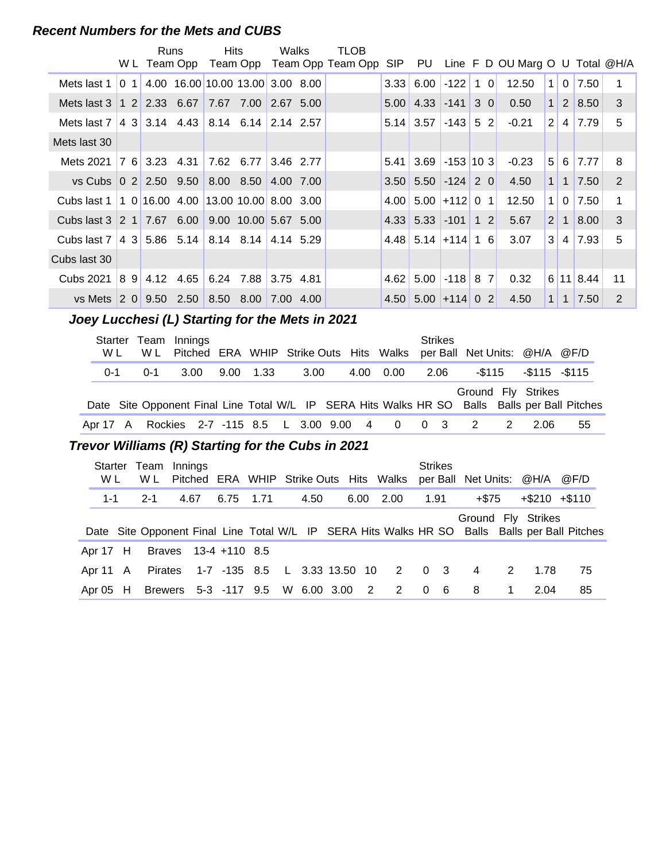#### **Recent Numbers for the Mets and CUBS**

|                                                   |   | Runs<br>W L Team Opp                   |      | <b>Hits</b><br>Team Opp |                        | Walks     |             | <b>TLOB</b><br>Team Opp Team Opp SIP                                                                                                       |                       | PU                     |                     |                | Line F D OU Marg O U Total @H/A                     |                     |                   |             |                |
|---------------------------------------------------|---|----------------------------------------|------|-------------------------|------------------------|-----------|-------------|--------------------------------------------------------------------------------------------------------------------------------------------|-----------------------|------------------------|---------------------|----------------|-----------------------------------------------------|---------------------|-------------------|-------------|----------------|
| Mets last 1                                       |   |                                        |      |                         |                        |           |             |                                                                                                                                            | 3.33                  | 6.00                   | $-122$              | $1\quad0$      | 12.50                                               | $\mathbf 1$         | $\overline{0}$    | 7.50        | 1              |
| Mets last 3 1 2 2.33 6.67                         |   |                                        |      |                         | 7.67 7.00 2.67 5.00    |           |             |                                                                                                                                            |                       | $5.00 \,   \, 4.33$    | $-141$              | 30             | 0.50                                                | 1 <sup>1</sup>      | 2                 | 8.50        | $\mathfrak{B}$ |
| Mets last $7 \mid 4 \mid 3 \mid 3.14 \quad 4.43$  |   |                                        |      |                         | $8.14 \quad 6.14$      | 2.14 2.57 |             |                                                                                                                                            | 5.14                  | 3.57                   | $-143$              | 5 2            | $-0.21$                                             | 2                   | $\overline{4}$    | 7.79        | 5              |
| Mets last 30                                      |   |                                        |      |                         |                        |           |             |                                                                                                                                            |                       |                        |                     |                |                                                     |                     |                   |             |                |
| Mets 2021 7 6 3.23 4.31                           |   |                                        |      | $7.62$ 6.77             |                        | 3.46 2.77 |             |                                                                                                                                            | 5.41                  |                        | $3.69$ -153 10 3    |                | $-0.23$                                             | 5                   | 6                 | 7.77        | 8              |
| vs Cubs 0 2 2.50 9.50                             |   |                                        |      |                         | 8.00 8.50 4.00 7.00    |           |             |                                                                                                                                            | 3.50                  | 5.50                   | $-124$ 2 0          |                | 4.50                                                |                     | $1 \vert 1 \vert$ | 7.50        | $\overline{2}$ |
| Cubs last 1                                       |   | $1016.00$ 4.00 13.00 10.00 8.00 3.00   |      |                         |                        |           |             |                                                                                                                                            | 4.00                  |                        | $5.00$ +112 0 1     |                | 12.50                                               | $\mathbf{1}$        | $\mathbf{0}$      | 7.50        | $\mathbf{1}$   |
| Cubs last 3 2 1 7.67 6.00                         |   |                                        |      |                         | $9.00$ 10.00 5.67 5.00 |           |             |                                                                                                                                            | 4.33                  | 5.33                   | $-101$ 1 2          |                | 5.67                                                | $\overline{2}$      | $\vert$ 1         | 8.00        | $\mathfrak{B}$ |
| Cubs last $7 \mid 4 \mid 3 \mid 5.86 \mid 5.14$   |   |                                        |      |                         | $8.14$ $8.14$          | 4.14 5.29 |             |                                                                                                                                            | 4.48                  |                        | $5.14$ + 114 1 6    |                | 3.07                                                | 3                   | 4                 | 7.93        | 5              |
| Cubs last 30                                      |   |                                        |      |                         |                        |           |             |                                                                                                                                            |                       |                        |                     |                |                                                     |                     |                   |             |                |
| Cubs 2021 8 9 4.12 4.65                           |   |                                        |      | 6.24                    | 7.88                   | 3.75 4.81 |             |                                                                                                                                            | 4.62                  |                        | $5.00$ -118 8 7     |                | 0.32                                                |                     |                   | $6$ 11 8.44 | 11             |
| vs Mets 2 0 9.50 2.50 8.50 8.00 7.00 4.00         |   |                                        |      |                         |                        |           |             |                                                                                                                                            |                       | $4.50$ 5.00 + 114 0 2  |                     |                | 4.50                                                |                     | $1 \vert 1 \vert$ | 7.50        | $\overline{2}$ |
| W L<br>$0 - 1$                                    |   | Starter Team Innings<br>W L<br>$0 - 1$ | 3.00 | 9.00                    | 1.33                   |           | 3.00        | Pitched ERA WHIP Strike Outs Hits<br>4.00<br>Date Site Opponent Final Line Total W/L IP SERA Hits Walks HR SO Balls Balls per Ball Pitches | Walks<br>0.00         | <b>Strikes</b><br>2.06 |                     | $-$115$        | per Ball Net Units: @H/A @F/D<br>Ground Fly Strikes | $-$ \$115 $-$ \$115 |                   |             |                |
| Apr 17 A                                          |   | Rockies                                |      | 2-7 -115 8.5            |                        |           | L 3.00 9.00 |                                                                                                                                            | 4<br>0                | $\Omega$               | 3                   | $\overline{2}$ | $\overline{2}$                                      | 2.06                |                   | 55          |                |
| Trevor Williams (R) Starting for the Cubs in 2021 |   |                                        |      |                         |                        |           |             |                                                                                                                                            |                       |                        |                     |                |                                                     |                     |                   |             |                |
| W L                                               |   | Starter Team Innings<br>W <sub>L</sub> |      |                         |                        |           |             | Pitched ERA WHIP Strike Outs Hits Walks                                                                                                    |                       | <b>Strikes</b>         | per Ball Net Units: |                |                                                     | @H/A                |                   | @F/D        |                |
| $1 - 1$                                           |   | $2 - 1$                                | 4.67 | 6.75                    | 1.71                   |           | 4.50        | 6.00                                                                                                                                       | 2.00                  | 1.91                   |                     | $+ $75$        |                                                     | $+ $210 + $110$     |                   |             |                |
|                                                   |   |                                        |      |                         |                        |           |             | Date Site Opponent Final Line Total W/L IP SERA Hits Walks HR SO Balls Balls per Ball Pitches                                              |                       |                        |                     |                | Ground Fly Strikes                                  |                     |                   |             |                |
| Apr 17                                            | H | <b>Braves</b>                          |      | 13-4 +110 8.5           |                        |           |             |                                                                                                                                            |                       |                        |                     |                |                                                     |                     |                   |             |                |
| Apr 11                                            |   |                                        |      |                         |                        |           |             |                                                                                                                                            |                       |                        |                     |                |                                                     |                     |                   |             |                |
|                                                   | A | <b>Pirates</b>                         |      | 1-7 -135 8.5            |                        |           |             | L 3.33 13.50 10                                                                                                                            | $\mathbf{2}^{\prime}$ | 0                      | 3                   | 4              | $\overline{2}$                                      | 1.78                |                   | 75          |                |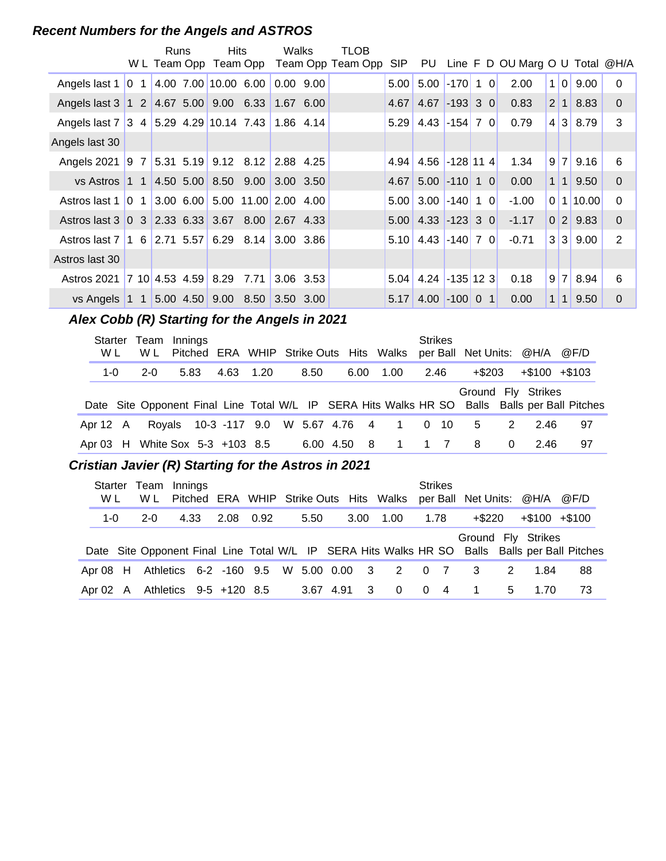#### **Recent Numbers for the Angels and ASTROS**

|                                                     |                           | Runs   |         | <b>Hits</b><br>W L Team Opp Team Opp |      | Walks |               | <b>TLOB</b><br>Team Opp Team Opp SIP                                                          |             |                        |                     |           | PU Line F D OU Marg O U Total @H/A                  |      |     |                          |                  |
|-----------------------------------------------------|---------------------------|--------|---------|--------------------------------------|------|-------|---------------|-----------------------------------------------------------------------------------------------|-------------|------------------------|---------------------|-----------|-----------------------------------------------------|------|-----|--------------------------|------------------|
| Angels last 1 0 1 4.00 7.00 10.00 6.00              |                           |        |         |                                      |      |       | $0.00$ $9.00$ |                                                                                               | 5.00        | 5.00                   | $-170$ 1 0          |           | 2.00                                                |      | 1 0 | 9.00                     | $\mathbf 0$      |
| Angels last 3 1 2 4.67 5.00 9.00 6.33               |                           |        |         |                                      |      |       | 1.67 6.00     |                                                                                               | 4.67        |                        | $4.67$ -193 3 0     |           | 0.83                                                |      |     | $2 \mid 1 \mid 8.83$     | $\boldsymbol{0}$ |
| Angels last 7 3 4 5.29 4.29 10.14 7.43 1.86 4.14    |                           |        |         |                                      |      |       |               |                                                                                               | 5.29        | $4.43$ -154 7 0        |                     |           | 0.79                                                |      |     | 4 3 8.79                 | 3                |
| Angels last 30                                      |                           |        |         |                                      |      |       |               |                                                                                               |             |                        |                     |           |                                                     |      |     |                          |                  |
| Angels 2021 9 7 5.31 5.19 9.12 8.12 2.88 4.25       |                           |        |         |                                      |      |       |               |                                                                                               | 4.94        |                        | 4.56 -128 11 4      |           | 1.34                                                |      | 9 7 | 9.16                     | $\,6$            |
| vs Astros 1 1 4.50 5.00 8.50 9.00                   |                           |        |         |                                      |      |       | 3.00 3.50     |                                                                                               | 4.67        |                        | $5.00$ -110 1 0     |           | 0.00                                                |      |     | $1 \mid 1 \mid 9.50$     | 0                |
| Astros last 1 0 1 3.00 6.00 5.00 11.00 2.00 4.00    |                           |        |         |                                      |      |       |               |                                                                                               | 5.00        | $3.00$ -140 1 0        |                     |           | $-1.00$                                             |      |     | 0 1 10.00                | $\mathbf 0$      |
| Astros last 3 0 3 2.33 6.33 3.67 8.00 2.67 4.33     |                           |        |         |                                      |      |       |               |                                                                                               | 5.00        | $4.33$ -123 3 0        |                     |           | $-1.17$                                             |      |     | 0 2 9.83                 | $\pmb{0}$        |
| Astros last 7 1 6 2.71 5.57 6.29 8.14               |                           |        |         |                                      |      |       | 3.00 3.86     |                                                                                               | 5.10        | 4.43 $-140$ 7 0        |                     |           | $-0.71$                                             |      | 3 3 | 9.00                     | $\overline{2}$   |
| Astros last 30                                      |                           |        |         |                                      |      |       |               |                                                                                               |             |                        |                     |           |                                                     |      |     |                          |                  |
| Astros 2021 7 10 4.53 4.59 8.29                     |                           |        |         |                                      | 7.71 |       | 3.06 3.53     |                                                                                               | 5.04        | $4.24$ -135 12 3       |                     |           | 0.18                                                |      |     | 9 7 8.94                 | $\,6\,$          |
| vs Angels 1 1 5.00 4.50 9.00 8.50 3.50 3.00         |                           |        |         |                                      |      |       |               |                                                                                               | 5.17        | $4.00$ -100 0 1        |                     |           | 0.00                                                |      | 1 1 | 9.50                     | $\pmb{0}$        |
| Starter Team Innings<br>W <sub>L</sub><br>$1 - 0$   | W <sub>L</sub><br>$2 - 0$ |        | 5.83    | 4.63                                 | 1.20 |       | 8.50          | Pitched ERA WHIP Strike Outs Hits Walks<br>6.00                                               | 1.00        | <b>Strikes</b><br>2.46 |                     | $+$ \$203 | per Ball Net Units: @H/A                            |      |     | @F/D<br>$+\$100 + \$103$ |                  |
|                                                     |                           |        |         |                                      |      |       |               | Date Site Opponent Final Line Total W/L IP SERA Hits Walks HR SO                              |             |                        |                     | Balls     | Ground Fly Strikes<br><b>Balls per Ball Pitches</b> |      |     |                          |                  |
| Apr 12 A                                            |                           | Royals |         | 10-3 -117 9.0                        |      |       | W 5.67 4.76   | 4                                                                                             | 1           | $\mathbf 0$            | 10                  | 5         | $\overline{2}$                                      | 2.46 |     | 97                       |                  |
| Apr 03 H White Sox 5-3 +103 8.5                     |                           |        |         |                                      |      |       |               | 6.00 4.50<br>8                                                                                | $\mathbf 1$ | $\mathbf{1}$           | $\overline{7}$      | 8         | 0                                                   | 2.46 |     | 97                       |                  |
| Cristian Javier (R) Starting for the Astros in 2021 |                           |        |         |                                      |      |       |               |                                                                                               |             |                        |                     |           |                                                     |      |     |                          |                  |
| Starter Team Innings<br>W L                         | W L                       |        | Pitched |                                      |      |       |               | ERA WHIP Strike Outs Hits Walks                                                               |             | <b>Strikes</b>         | per Ball Net Units: |           |                                                     | @H/A |     | @F/D                     |                  |
| $1-0$                                               | $2 - 0$                   |        | 4.33    | 2.08                                 | 0.92 |       | 5.50          | 3.00                                                                                          | 1.00        | 1.78                   |                     | $+ $220$  |                                                     |      |     | $+ $100 + $100$          |                  |
|                                                     |                           |        |         |                                      |      |       |               | Date Site Opponent Final Line Total W/L IP SERA Hits Walks HR SO Balls Balls per Ball Pitches |             |                        |                     |           | Ground Fly Strikes                                  |      |     |                          |                  |
| Apr 08 H                                            |                           |        |         | Athletics 6-2 -160 9.5               |      |       | W 5.00 0.00   | 3                                                                                             | 2           | 0                      | $\overline{7}$      | 3         | 2                                                   | 1.84 |     | 88                       |                  |

Apr 02 A Athletics 9-5 +120 8.5 3.67 4.91 3 0 0 4 1 5 1.70 73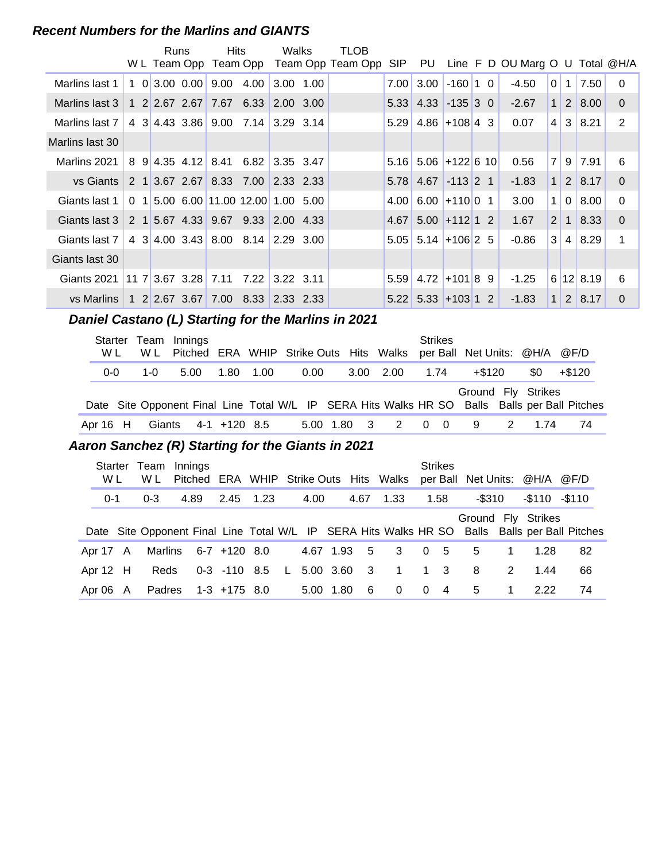#### **Recent Numbers for the Marlins and GIANTS**

|                 |  | Runs |                       | <b>Hits</b>                           |      | Walks       | TLOB                       |                   |                         |                  |  |                                 |                |                |               |                |
|-----------------|--|------|-----------------------|---------------------------------------|------|-------------|----------------------------|-------------------|-------------------------|------------------|--|---------------------------------|----------------|----------------|---------------|----------------|
|                 |  |      | W L Team Opp          |                                       |      |             | Team Opp Team Opp Team Opp | SIP               | PU                      |                  |  | Line F D OU Marg O U Total @H/A |                |                |               |                |
| Marlins last 1  |  |      | $1 \t0 \t3.00 \t0.00$ | 9.00                                  | 4.00 | $3.00$ 1.00 |                            | 7.00 <sub>l</sub> | 3.00                    | $-160$ 1 0       |  | -4.50                           | $\overline{0}$ |                | $1 \mid 7.50$ | $\Omega$       |
| Marlins last 3  |  |      |                       | 1 2 2.67 2.67 7.67 6.33               |      | 2.00 3.00   |                            |                   | $5.33$ 4.33 -135 3 0    |                  |  | $-2.67$                         | $\mathbf{1}$   | 2 <sup>1</sup> | 8.00          | $\Omega$       |
| Marlins last 7  |  |      |                       | 4 3 4.43 3.86 9.00 7.14 3.29 3.14     |      |             |                            | 5.29              |                         | $4.86 + 108$ 4 3 |  | 0.07                            | $\vert$        | 3 <sup>1</sup> | 8.21          | 2              |
| Marlins last 30 |  |      |                       |                                       |      |             |                            |                   |                         |                  |  |                                 |                |                |               |                |
| Marlins 2021    |  |      |                       | 8 9 4.35 4.12 8.41 6.82 3.35 3.47     |      |             |                            |                   | $5.16$ 5.06 +122 6 10   |                  |  | 0.56                            | 7 <sup>1</sup> |                | 9 7.91        | 6              |
| vs Giants       |  |      |                       | 2 1 3.67 2.67 8.33 7.00 2.33 2.33     |      |             |                            |                   | $5.78$ 4.67 -113 2 1    |                  |  | $-1.83$                         | $\mathbf{1}$   |                | $2 \mid 8.17$ | $\Omega$       |
| Giants last 1   |  |      |                       | $0$ 1 5.00 6.00 11.00 12.00 1.00 5.00 |      |             |                            | 4.00              | $6.00 + 110001$         |                  |  | 3.00                            | $\mathbf{1}$   | 0 <sup>1</sup> | 8.00          | $\Omega$       |
| Giants last 3   |  |      |                       | 2 1 5.67 4.33 9.67 9.33 2.00 4.33     |      |             |                            |                   | $4.67$ 5.00 + 112 1 2   |                  |  | 1.67                            | $\overline{2}$ | 1 <sup>1</sup> | 8.33          | $\Omega$       |
| Giants last 7   |  |      |                       | 4 3 4.00 3.43 8.00 8.14 2.29 3.00     |      |             |                            |                   | $5.05$ 5.14 +106 2 5    |                  |  | $-0.86$                         | 3 <sup>1</sup> | $\vert$ 4      | 8.29          | 1              |
| Giants last 30  |  |      |                       |                                       |      |             |                            |                   |                         |                  |  |                                 |                |                |               |                |
| Giants 2021     |  |      |                       | $117$ 3.67 3.28 7.11 7.22             |      | $3.22$ 3.11 |                            |                   | $5.59$   4.72 + 101 8 9 |                  |  | $-1.25$                         |                |                | 6 12 8.19     | 6              |
| vs Marlins      |  |      |                       | 1 2 2.67 3.67 7.00 8.33 2.33 2.33     |      |             |                            |                   | $5.22$ 5.33 + 103 1 2   |                  |  | $-1.83$                         | $\mathbf{1}$   |                | 2 8.17        | $\overline{0}$ |
|                 |  |      |                       |                                       |      |             |                            |                   |                         |                  |  |                                 |                |                |               |                |

#### **Daniel Castano (L) Starting for the Marlins in 2021**

| W L        | W L | Starter Team Innings |           | Pitched ERA WHIP Strike Outs Hits Walks per Ball Net Units: @H/A @F/D |             |                | <b>Strikes</b> |                |                    |      |                                                                                               |
|------------|-----|----------------------|-----------|-----------------------------------------------------------------------|-------------|----------------|----------------|----------------|--------------------|------|-----------------------------------------------------------------------------------------------|
| $0 - 0$    | 1-0 | 5.00                 | 1.80 1.00 | 0.00                                                                  |             | 3.00 2.00 1.74 |                |                | +\$120             | SO.  | +\$120                                                                                        |
|            |     |                      |           |                                                                       |             |                |                |                | Ground Fly Strikes |      | Date Site Opponent Final Line Total W/L IP SERA Hits Walks HR SO Balls Balls per Ball Pitches |
| Apr $16$ H |     | Giants 4-1 +120 8.5  |           |                                                                       | 5.00 1.80 3 | $\overline{2}$ | 0              | $\overline{0}$ | -9                 | 1.74 | 74                                                                                            |

#### **..........Aaron Sanchez (R) Starting for the Giants in 2021**

| Starter<br>W L | Team<br>W L | Innings |                |           |             |      |             | Pitched ERA WHIP Strike Outs Hits Walks |                | <b>Strikes</b>          | per Ball Net Units: @H/A @F/D |                |                     |                                                                                               |
|----------------|-------------|---------|----------------|-----------|-------------|------|-------------|-----------------------------------------|----------------|-------------------------|-------------------------------|----------------|---------------------|-----------------------------------------------------------------------------------------------|
| $0 - 1$        | $0 - 3$     | 4.89    | 2.45 1.23      |           | 4.00        |      | 4.67        | 1.33                                    |                | 1.58                    | -\$310                        |                | $-$ \$110 $-$ \$110 |                                                                                               |
|                |             |         |                |           |             |      |             |                                         |                |                         | Ground Fly Strikes            |                |                     |                                                                                               |
|                |             |         |                |           |             |      |             |                                         |                |                         |                               |                |                     | Date Site Opponent Final Line Total W/L IP SERA Hits Walks HR SO Balls Balls per Ball Pitches |
| Apr 17 A       | Marlins     |         | 6-7 +120 8.0   |           |             |      | 4.67 1.93 5 | 3                                       | $\overline{0}$ | - 5                     | 5                             | $\overline{1}$ | 1.28                | 82                                                                                            |
| Apr $12$ H     | <b>Reds</b> |         | $0-3$ -110 8.5 | $-$ L $-$ | 5.00 3.60 3 |      |             | $\overline{1}$                          | $1 \quad 3$    |                         | 8                             | 2              | 144                 | 66                                                                                            |
| Apr 06 A       | Padres      |         | 1-3 +175 8.0   |           | 5.00        | 1.80 | - 6         | $\Omega$                                | $\Omega$       | $\overline{\mathbf{4}}$ | 5                             | $\mathbf 1$    | 2.22                | 74                                                                                            |